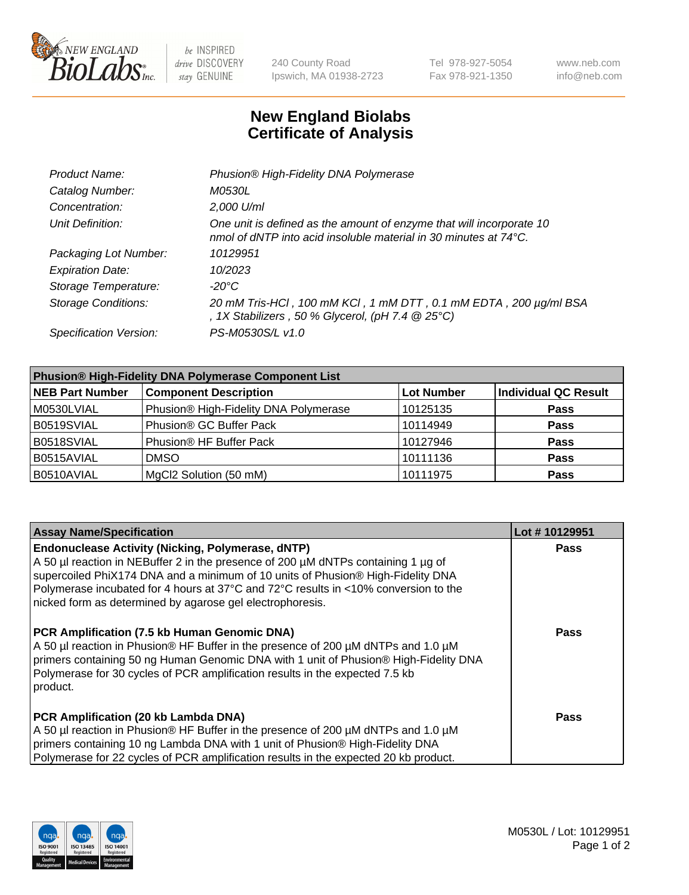

 $be$  INSPIRED drive DISCOVERY stay GENUINE

240 County Road Ipswich, MA 01938-2723 Tel 978-927-5054 Fax 978-921-1350 www.neb.com info@neb.com

## **New England Biolabs Certificate of Analysis**

| Product Name:              | Phusion® High-Fidelity DNA Polymerase                                                                                                              |
|----------------------------|----------------------------------------------------------------------------------------------------------------------------------------------------|
| Catalog Number:            | <i>M0530L</i>                                                                                                                                      |
| Concentration:             | 2,000 U/ml                                                                                                                                         |
| Unit Definition:           | One unit is defined as the amount of enzyme that will incorporate 10<br>nmol of dNTP into acid insoluble material in 30 minutes at $74^{\circ}$ C. |
| Packaging Lot Number:      | 10129951                                                                                                                                           |
| <b>Expiration Date:</b>    | 10/2023                                                                                                                                            |
| Storage Temperature:       | -20°C                                                                                                                                              |
| <b>Storage Conditions:</b> | 20 mM Tris-HCl, 100 mM KCl, 1 mM DTT, 0.1 mM EDTA, 200 µg/ml BSA<br>, 1X Stabilizers, 50 % Glycerol, (pH 7.4 $@25°C$ )                             |
| Specification Version:     | PS-M0530S/L v1.0                                                                                                                                   |

| <b>Phusion® High-Fidelity DNA Polymerase Component List</b> |                                       |                   |                             |  |
|-------------------------------------------------------------|---------------------------------------|-------------------|-----------------------------|--|
| <b>NEB Part Number</b>                                      | <b>Component Description</b>          | <b>Lot Number</b> | <b>Individual QC Result</b> |  |
| M0530LVIAL                                                  | Phusion® High-Fidelity DNA Polymerase | 10125135          | <b>Pass</b>                 |  |
| B0519SVIAL                                                  | Phusion® GC Buffer Pack               | 10114949          | <b>Pass</b>                 |  |
| B0518SVIAL                                                  | Phusion® HF Buffer Pack               | 10127946          | <b>Pass</b>                 |  |
| B0515AVIAL                                                  | <b>DMSO</b>                           | 10111136          | <b>Pass</b>                 |  |
| B0510AVIAL                                                  | MgCl2 Solution (50 mM)                | 10111975          | <b>Pass</b>                 |  |

| <b>Assay Name/Specification</b>                                                                                                                                                                                                                                                                                                                                                      | Lot #10129951 |
|--------------------------------------------------------------------------------------------------------------------------------------------------------------------------------------------------------------------------------------------------------------------------------------------------------------------------------------------------------------------------------------|---------------|
| <b>Endonuclease Activity (Nicking, Polymerase, dNTP)</b><br>A 50 µl reaction in NEBuffer 2 in the presence of 200 µM dNTPs containing 1 µg of<br>supercoiled PhiX174 DNA and a minimum of 10 units of Phusion® High-Fidelity DNA<br>Polymerase incubated for 4 hours at 37°C and 72°C results in <10% conversion to the<br>nicked form as determined by agarose gel electrophoresis. | <b>Pass</b>   |
| PCR Amplification (7.5 kb Human Genomic DNA)<br>A 50 µl reaction in Phusion® HF Buffer in the presence of 200 µM dNTPs and 1.0 µM<br>primers containing 50 ng Human Genomic DNA with 1 unit of Phusion® High-Fidelity DNA<br>Polymerase for 30 cycles of PCR amplification results in the expected 7.5 kb<br>product.                                                                | Pass          |
| PCR Amplification (20 kb Lambda DNA)<br>A 50 µl reaction in Phusion® HF Buffer in the presence of 200 µM dNTPs and 1.0 µM<br>primers containing 10 ng Lambda DNA with 1 unit of Phusion® High-Fidelity DNA<br>Polymerase for 22 cycles of PCR amplification results in the expected 20 kb product.                                                                                   | Pass          |